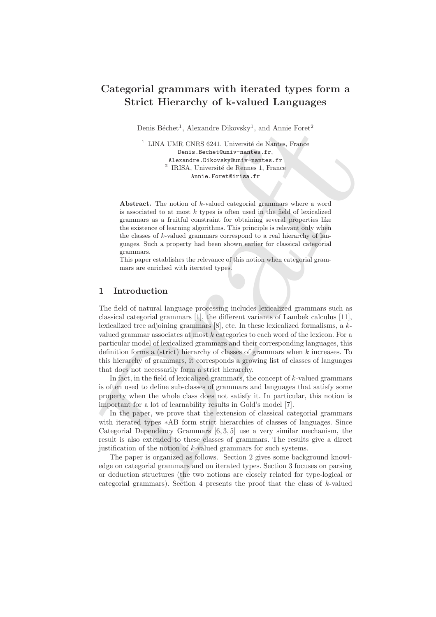# Categorial grammars with iterated types form a Strict Hierarchy of k-valued Languages

Denis Béchet<sup>1</sup>, Alexandre Dikovsky<sup>1</sup>, and Annie Foret<sup>2</sup>

 $1$  LINA UMR CNRS 6241, Université de Nantes, France Denis.Bechet@univ-nantes.fr, Alexandre.Dikovsky@univ-nantes.fr <sup>2</sup> IRISA, Université de Rennes 1, France Annie.Foret@irisa.fr

Abstract. The notion of k-valued categorial grammars where a word is associated to at most  $k$  types is often used in the field of lexicalized grammars as a fruitful constraint for obtaining several properties like the existence of learning algorithms. This principle is relevant only when the classes of k-valued grammars correspond to a real hierarchy of languages. Such a property had been shown earlier for classical categorial grammars.

This paper establishes the relevance of this notion when categorial grammars are enriched with iterated types.

# 1 Introduction

Denis Béchet", Alexandre Dikovsky", and Amic Fore<br/>f $^{\prime}$   $^{\prime}$  LINA UMICNIS 6241, Université de Numi<br/> $^{\prime}$  Ruise Pears. France Denis Becher<br>Ouriv-martes. Fr<br/>, alexandre Dikovsky maritale Numier (Fig. 2.1 Un The field of natural language processing includes lexicalized grammars such as classical categorial grammars [1], the different variants of Lambek calculus [11], lexicalized tree adjoining grammars [8], etc. In these lexicalized formalisms, a kvalued grammar associates at most k categories to each word of the lexicon. For a particular model of lexicalized grammars and their corresponding languages, this definition forms a (strict) hierarchy of classes of grammars when  $k$  increases. To this hierarchy of grammars, it corresponds a growing list of classes of languages that does not necessarily form a strict hierarchy.

In fact, in the field of lexicalized grammars, the concept of  $k$ -valued grammars is often used to define sub-classes of grammars and languages that satisfy some property when the whole class does not satisfy it. In particular, this notion is important for a lot of learnability results in Gold's model [7].

In the paper, we prove that the extension of classical categorial grammars with iterated types ∗AB form strict hierarchies of classes of languages. Since Categorial Dependency Grammars [6, 3, 5] use a very similar mechanism, the result is also extended to these classes of grammars. The results give a direct justification of the notion of k-valued grammars for such systems.

The paper is organized as follows. Section 2 gives some background knowledge on categorial grammars and on iterated types. Section 3 focuses on parsing or deduction structures (the two notions are closely related for type-logical or categorial grammars). Section 4 presents the proof that the class of  $k$ -valued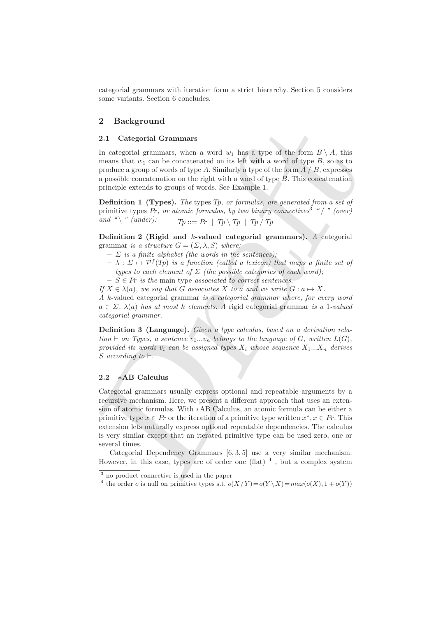categorial grammars with iteration form a strict hierarchy. Section 5 considers some variants. Section 6 concludes.

# 2 Background

### 2.1 Categorial Grammars

In categorial grammars, when a word  $w_1$  has a type of the form  $B \setminus A$ , this means that  $w_1$  can be concatenated on its left with a word of type  $B$ , so as to produce a group of words of type A. Similarly a type of the form  $A \, / \, B$ , expresses a possible concatenation on the right with a word of type B. This concatenation principle extends to groups of words. See Example 1.

Definition 1 (Types). *The* types Tp*, or formulas, are generated from a set of* primitive types Pr*, or atomic formulas, by two binary connectives*<sup>3</sup> *"* / *" (over) and* " $\langle$  " *(under):*  $T_p ::= Pr | T_p \setminus T_p | T_p / T_p$ 

Definition 2 (Rigid and k-valued categorial grammars). *A* categorial grammar *is a structure*  $G = (\Sigma, \lambda, S)$  *where:* 

- $\sum$  *is a finite alphabet (the words in the sentences)*;
- $\lambda : \Sigma \mapsto \mathcal{P}^f(T_p)$  *is a function (called a lexicon) that maps a finite set of types to each element of*  $\Sigma$  *(the possible categories of each word):*
- $-S \in Pr$  *is the* main type *associated to correct sentences.*

*If*  $X \in \lambda(a)$ *, we say that* G *associates* X *to* a and we write  $G : a \mapsto X$ *.* 

*A* k-valued categorial grammar *is a categorial grammar where, for every word* a ∈ Σ*,* λ(a) *has at most* k *elements. A* rigid categorial grammar *is a* 1*-valued categorial grammar.*

Definition 3 (Language). *Given a type calculus, based on a derivation rela* $t$ *tion* ⊢ *on Types, a sentence*  $v_1...v_n$  *belongs to the language of*  $G$ *, written*  $L(G)$ *, provided its words*  $v_i$  *can be assigned types*  $X_i$  *whose sequence*  $X_1...X_n$  *derives* S *according to* ⊢*.*

### 2.2 ∗AB Calculus

**2 December 21**<br>
2 **December 11**<br>
21 **C** rate condition of the strain of the strain of the form  $B \setminus A$ , this means that as can be concentrated on its left with a word d'upe *B*, so as to prove the systems produce a gro Categorial grammars usually express optional and repeatable arguments by a recursive mechanism. Here, we present a different approach that uses an extension of atomic formulas. With ∗AB Calculus, an atomic formula can be either a primitive type  $x \in Pr$  or the iteration of a primitive type written  $x^*, x \in Pr$ . This extension lets naturally express optional repeatable dependencies. The calculus is very similar except that an iterated primitive type can be used zero, one or several times.

Categorial Dependency Grammars [6, 3, 5] use a very similar mechanism. However, in this case, types are of order one (flat)  $<sup>4</sup>$ , but a complex system</sup>

<sup>3</sup> no product connective is used in the paper

<sup>&</sup>lt;sup>4</sup> the order *o* is null on primitive types s.t.  $o(X/Y) = o(Y \setminus X) = max(o(X), 1 + o(Y))$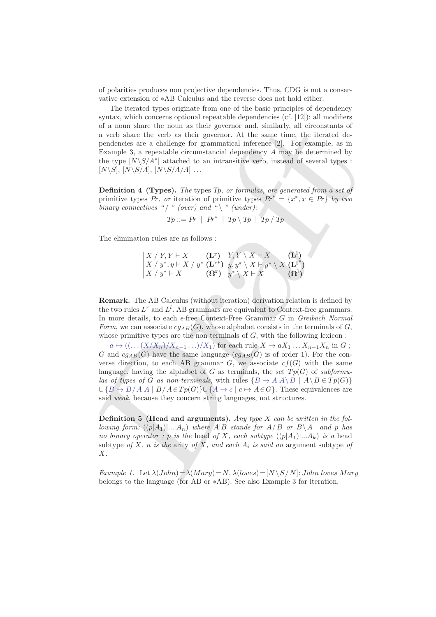of polarities produces non projective dependencies. Thus, CDG is not a conservative extension of ∗AB Calculus and the reverse does not hold either.

The iterated types originate from one of the basic principles of dependency syntax, which concerns optional repeatable dependencies (cf. [12]): all modifiers of a noun share the noun as their governor and, similarly, all circonstants of a verb share the verb as their governor. At the same time, the iterated dependencies are a challenge for grammatical inference [2]. For example, as in Example 3, a repeatable circumstancial dependency A may be determined by the type  $[N\setminus S/A^*]$  attached to an intransitive verb, instead of several types :  $[N\setminus S], [N\setminus S/A], [N\setminus S/A/A] \dots$ 

Definition 4 (Types). *The* types Tp*, or formulas, are generated from a set of* primitive types Pr, or iteration of primitive types  $Pr^* = \{x^*, x \in Pr\}$  by two *binary connectives "* / " (over) and " $\backslash$  " (under):

$$
Tp ::= Pr \mid Pr^* \mid Tp \setminus Tp \mid Tp / Tp
$$

The elimination rules are as follows :

$$
\begin{array}{c|c|c|c} X \;/\; Y,Y \vdash X & \textbf{(L^r)} \\ X \;/\; y^*,y \vdash X \;/\; y^* & \textbf{(L^r^*)} \\ X \;/\; y^* \vdash X & \textbf{(}\Omega^{\text{r}} \end{array} \bigg| \begin{array}{c} Y,Y \setminus X \vdash X & \textbf{(L^l)} \\ y,y^* \setminus X \vdash y^* \setminus X & \textbf{(L^l^*)} \\ y^* \setminus X \vdash X & \textbf{(}\Omega^{\text{l}} \end{array} \bigg) \\
$$

Remark. The AB Calculus (without iteration) derivation relation is defined by the two rules  $L^r$  and  $L^l$ . AB grammars are equivalent to Context-free grammars. In more details, to each  $\epsilon$ -free Context-Free Grammar G in *Greibach Normal Form*, we can associate  $cg_{AB}(G)$ , whose alphabet consists in the terminals of G, whose primitive types are the non terminals of  $G$ , with the following lexicon :

of a nous share the nous as their geomeon and, similarly, all circostants of<br>non-share the vertic saturity energy and similarly, all circulated de-<br>pendentes are a dollenge for grammatical interesting [2]. For example, as  $a \mapsto ((\dots (X/X_n)/X_{n-1} \dots)/X_1)$  for each rule  $X \to aX_1 \dots X_{n-1}X_n$  in G; G and  $cg_{AB}(G)$  have the same language  $(cg_{AB}(G))$  is of order 1). For the converse direction, to each AB grammar  $G$ , we associate  $cf(G)$  with the same language, having the alphabet of G as terminals, the set  $T_p(G)$  of *subformulas of types of* G *as non-terminals*, with rules  ${B \to A \land B \mid A \land B \in Tp(G)}$  $\bigcup \{B \to B/A \land A \mid B/A \in Tp(G)\} \cup \{A \to c \mid c \mapsto A \in G\}.$  These equivalences are said *weak*, because they concern string languages, not structures.

Definition 5 (Head and arguments). *Any type* X *can be written in the following form:*  $((p|A_1)|...|A_n)$  *where*  $A|B$  *stands for*  $A/B$  *or*  $B\setminus A$  *and* p *has no binary operator ;* p *is the head of X, each subtype*  $((p|A_1)|...A_k)$  *is a head* subtype *of* X, *n is the* arity *of* X, and each  $A_i$  *is said an* argument subtype *of* X*.*

*Example 1.* Let  $\lambda(John) = \lambda(Mary) = N$ ,  $\lambda(loves) = [N \setminus S / N]$ : John loves Mary belongs to the language (for AB or ∗AB). See also Example 3 for iteration.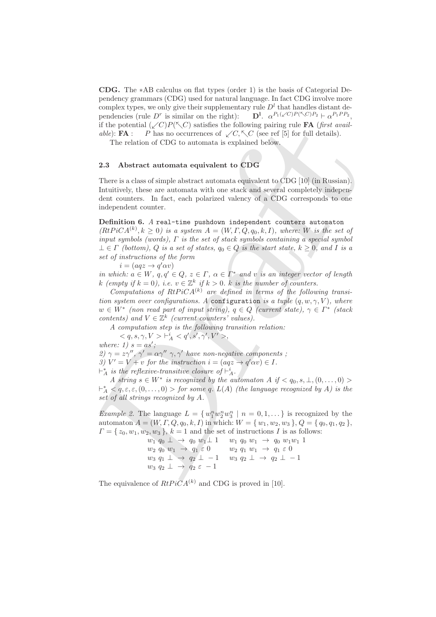CDG. The ∗AB calculus on flat types (order 1) is the basis of Categorial Dependency grammars (CDG) used for natural language. In fact CDG involve more complex types, we only give their supplementary rule  $D<sup>l</sup>$  that handles distant dependencies (rule  $D^r$  is similar on the right):  $D^l$  $\alpha^{P_1(\sqrt{C})P(\nwarrow C)P_2} \vdash \alpha^{P_1PP_2},$ if the potential  $(\sqrt{C})P(\sqrt{C})$  satisfies the following pairing rule **FA** (*first available*): **FA** : P has no occurrences of  $\swarrow C$ ,  $\nwarrow C$  (see ref [5] for full details).

The relation of CDG to automata is explained below.

# 2.3 Abstract automata equivalent to CDG

There is a class of simple abstract automata equivalent to CDG [10] (in Russian). Intuitively, these are automata with one stack and several completely independent counters. In fact, each polarized valency of a CDG corresponds to one independent counter.

### Definition 6. *A* real-time pushdown independent counters automaton

if the potential  $(\bigwedge P)(^{\infty}(\bigwedge \bigcap \mathbb{R}^n))$  satisfies the following pair<br>is the following pair of the following pair and the following pair of the following pair<br>in the relation of CDG to automata is explained below.<br>T  $(RtPiCA^{(k)}, k \geq 0)$  *is a system*  $A = (W, \Gamma, Q, q_0, k, I)$ *, where:* W *is the set of input symbols (words),* Γ *is the set of stack symbols containing a special symbol*  $\bot \in \Gamma$  *(bottom), Q is a set of states,*  $q_0 \in Q$  *is the start state,*  $k \geq 0$ *, and* I *is a set of instructions of the form*

 $i = (aqz \rightarrow q'\alpha v)$ 

*in which:*  $a \in W$ ,  $q, q' \in Q$ ,  $z \in \Gamma$ ,  $\alpha \in \Gamma^*$  *and*  $v$  *is an integer vector of length*  $k$  (empty if  $k = 0$ ), i.e.  $v \in \mathbb{Z}^k$  if  $k > 0$ . k is the number of counters.

*Computations of RtPiCA*<sup> $(k)$ </sup> are defined in terms of the following transi*tion system over configurations.* A configuration *is a tuple*  $(q, w, \gamma, V)$ *, where*  $w \in W^*$  (non read part of input string),  $q \in Q$  (current state),  $\gamma \in \Gamma^*$  (stack *contents)* and  $V \in \mathbb{Z}^k$  (*current counters' values*).

*A computation step is the following transition relation:*

 $< q, s, \gamma, V> \vdash_A^i < q', s', \gamma', V'>,$ 

*where:* 1)  $s = as'$ ;

*2)*  $\gamma = z\gamma''$ ,  $\gamma' = \alpha\gamma''$   $\gamma$ ,  $\gamma'$  have non-negative components;

*3)*  $V' = V + v$  *for the instruction*  $i = (aqz \rightarrow q'\alpha v) \in I$ *.* 

 $\vdash_A^*$  *is the reflexive-transitive closure of*  $\vdash_A^i$ .

*A* string  $s \in W^*$  is recognized by the automaton  $A$  if  $\langle q_0, s, \perp, (0, \ldots, 0) \rangle$  $\vdash_A^* \langle q, \varepsilon, \varepsilon, (0, \ldots, 0) \rangle$  *for some* q.  $L(A)$  *(the language recognized by A) is the set of all strings recognized by* A*.*

*Example 2.* The language  $L = \{w_1^n w_2^n w_3^n \mid n = 0, 1, ...\}$  is recognized by the automaton  $A = (W, \Gamma, Q, q_0, k, I)$  in which:  $W = \{w_1, w_2, w_3\}, Q = \{q_0, q_1, q_2\},$  $\Gamma = \{z_0, w_1, w_2, w_3\}, k = 1$  and the set of instructions I is as follows:

> $w_1 q_0 \perp \rightarrow q_0 w_1 \perp 1 \quad w_1 q_0 w_1 \rightarrow q_0 w_1 w_1 1$  $w_2 q_0 w_1 \rightarrow q_1 \varepsilon 0$   $w_2 q_1 w_1 \rightarrow q_1 \varepsilon 0$  $w_3 q_1 \perp \rightarrow q_2 \perp -1 \quad w_3 q_2 \perp \rightarrow q_2 \perp -1$  $w_3 q_2 \perp \rightarrow q_2 \varepsilon - 1$

The equivalence of  $RtPiCA^{(k)}$  and CDG is proved in [10].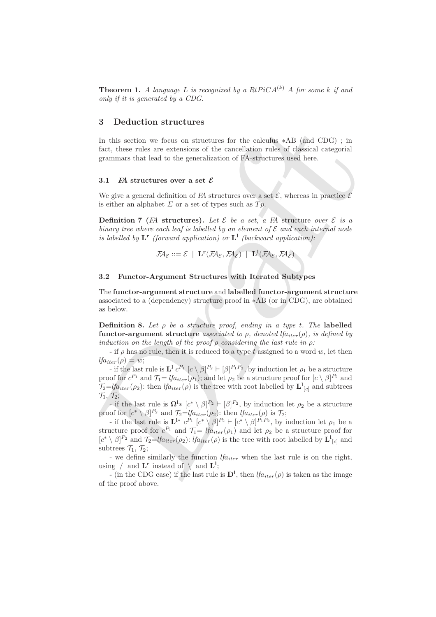**Theorem 1.** A language L is recognized by a  $RtPiCA^{(k)}$  A for some k if and *only if it is generated by a CDG.*

# 3 Deduction structures

In this section we focus on structures for the calculus ∗AB (and CDG) ; in fact, these rules are extensions of the cancellation rules of classical categorial grammars that lead to the generalization of FA-structures used here.

#### 3.1 FA structures over a set  $\mathcal E$

We give a general definition of FA structures over a set  $\mathcal{E}$ , whereas in practice  $\mathcal{E}$ is either an alphabet  $\Sigma$  or a set of types such as  $Tp$ .

**Definition 7** (FA structures). Let  $\mathcal{E}$  be a set, a FA structure over  $\mathcal{E}$  is a *binary tree where each leaf is labelled by an element of*  $\mathcal E$  *and each internal node* is labelled by  $L^r$  (forward application) or  $L^1$  (backward application):

$$
\mathcal{F\!A}_{\mathcal{E}} ::= \mathcal{E} \ \mid \ \mathbf{L}^{\mathbf{r}}(\mathcal{F\!A}_{\mathcal{E}}, \mathcal{F\!A}_{\mathcal{E}}) \ \mid \ \mathbf{L}^1(\mathcal{F\!A}_{\mathcal{E}}, \mathcal{F\!A}_{\mathcal{E}})
$$

#### 3.2 Functor-Argument Structures with Iterated Subtypes

The functor-argument structure and labelled functor-argument structure associated to a (dependency) structure proof in ∗AB (or in CDG), are obtained as below.

Definition 8. *Let* ρ *be a structure proof, ending in a type* t*. The* labelled functor-argument structure *associated to*  $\rho$ *, denoted lfa<sub>iter</sub>*( $\rho$ *), is defined by induction on the length of the proof* ρ *considering the last rule in* ρ*:*

- if  $\rho$  has no rule, then it is reduced to a type t assigned to a word w, let then  $lfa_{iter}(\rho) = w;$ 

**5** Detriction structures<br>
in this section we focus on structures for the calculas \*AB (and CDC); in<br>
In this section we focus on structures for the calculation rules of dissical categorial<br>
gummars that had to the gener - if the last rule is  $\mathbf{L}^1 c^{P_1} [c \setminus \beta]^{P_2} \vdash [\beta]^{P_1 P_2}$ , by induction let  $\rho_1$  be a structure proof for  $c^{P_1}$  and  $\mathcal{T}_1 = \text{If}_{a_{iter}}(\rho_1)$ ; and let  $\rho_2$  be a structure proof for  $[c \setminus \beta]^{P_2}$  and  $\mathcal{T}_2 = \text{lfa}_{iter}(\rho_2)$ : then  $\text{lfa}_{iter}(\rho)$  is the tree with root labelled by  $\mathbf{L}^1_{[c]}$  and subtrees  $\mathcal{T}_1, \mathcal{T}_2;$ 

- if the last rule is  $\Omega^1 * [c^* \setminus \beta]^{P_2} \vdash [\beta]^{P_2}$ , by induction let  $\rho_2$  be a structure proof for  $[c^* \setminus \beta]^{P_2}$  and  $\mathcal{T}_2 = \text{tfa}_{iter}(\rho_2)$ : then  $\text{tfa}_{iter}(\rho)$  is  $\mathcal{T}_2$ ;

- if the last rule is  $\mathbf{L}^{1*} c^{p_1} [c^* \setminus \beta]^{p_2} \vdash [c^* \setminus \beta]^{p_1 p_2}$ , by induction let  $\rho_1$  be a structure proof for  $c^{P_1}$  and  $\mathcal{T}_1=$  lf $a_{iter}(\rho_1)$  and let  $\rho_2$  be a structure proof for  $[c^* \setminus \beta]^{P_2}$  and  $\mathcal{T}_2 = \mathcal{I}$  fa<sub>iter</sub>( $\rho_2$ ): *lfa<sub>iter</sub>*( $\rho$ ) is the tree with root labelled by  $\mathbf{L}^1_{[c]}$  and subtrees  $\mathcal{T}_1$ ,  $\mathcal{T}_2$ ;

- we define similarly the function  $lfa_{iter}$  when the last rule is on the right, using  $\neq$  and  $\mathbf{L}^{\mathbf{r}}$  instead of  $\setminus$  and  $\mathbf{L}^{1}$ ;

- (in the CDG case) if the last rule is  $D^1$ , then  $lfa_{iter}(\rho)$  is taken as the image of the proof above.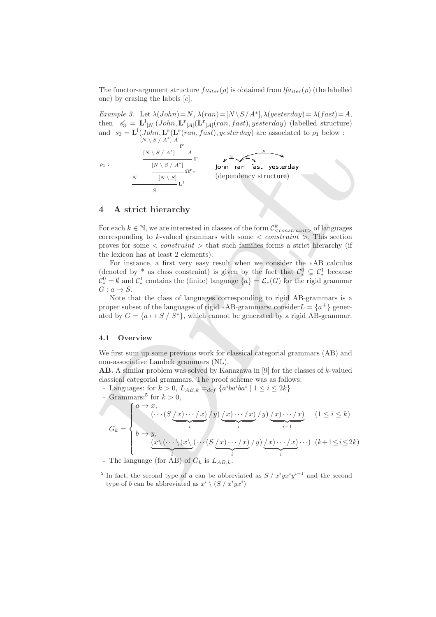The functor-argument structure  $fa_{iter}(\rho)$  is obtained from  $lfa_{iter}(\rho)$  (the labelled one) by erasing the labels  $[c]$ .

*Example 3.* Let  $\lambda(John) = N$ ,  $\lambda(ran) = [N \setminus S / A^*]$ ,  $\lambda(y \in \text{erday}) = \lambda(fast) = A$ , then  $s'_3 = \mathbf{L}^1_{[N]}(John, \mathbf{L}^r_{[A]}(\mathbf{L}^r_{[A]}(ran, fast), yesterday)$  (labelled structure) and  $s_3 = \mathbf{L}^1(John, \mathbf{L}^r(ran, fast), yesterday)$  are associated to  $\rho_1$  below :  $\stackrel{\rightharpoonup}{\text{N} \setminus S \setminus A^*} A \stackrel{\rightharpoonup}{\text{I}^{\text{r}}}$ 

 $\rho_1$  :



# 4 A strict hierarchy

S

N

For each  $k \in \mathbb{N}$ , we are interested in classes of the form  $\mathcal{C}^k_{\leq constant>}$  of languages corresponding to k-valued grammars with some  $\langle constant \rangle$ . This section proves for some  $\langle constant \rangle$  that such families forms a strict hierarchy (if the lexicon has at least 2 elements):

For instance, a first very easy result when we consider the ∗AB calculus (denoted by \* as class constraint) is given by the fact that  $\mathcal{C}^0_* \subsetneq \mathcal{C}^1_*$  because  $\mathcal{C}^0_* = \emptyset$  and  $\mathcal{C}^1_*$  contains the (finite) language  $\{a\} = \mathcal{L}_*(G)$  for the rigid grammar  $G: a \mapsto S$ .

Note that the class of languages corresponding to rigid AB-grammars is a proper subset of the languages of rigid \*AB-grammars: consider $L = \{a^+\}\$ generated by  $G = \{a \mapsto S / S^*\}$ , which cannot be generated by a rigid AB-grammar.

### 4.1 Overview

We first sum up some previous work for classical categorial grammars (AB) and non-associative Lambek grammars (NL).

**AB.** A similar problem was solved by Kanazawa in  $[9]$  for the classes of k-valued classical categorial grammars. The proof scheme was as follows:

- Languages: for  $k > 0$ ,  $L_{AB,k} =_{def} \{a^i b a^i b a^i \mid 1 \leq i \leq 2k\}$ 

then 
$$
s_3 = L'[N] (John, L'[A][L'[A](Tan, Jast), yesterday)]
$$
 (labeled structure)  
\nand  $s_3 = L'[N] (John, L'[A' (ran, Jast), yesterday)]$  are associated to  $\rho_1$  below :  $\frac{[N \setminus S / A^*]}{[N \setminus S] \setminus L}$   
\n $\rho_1$ :  $\frac{[N \setminus S / A^*]}{[N \setminus S] \setminus L}$   
\n $\rho_2$ :  $\frac{[N \setminus S / A^*]}{[N \setminus S] \setminus L}$   
\n $\rho_3$ :  $\frac{[N \setminus S / A^*]}{[N \setminus S] \setminus L}$   
\n $\rho_4$ :  $\frac{[N \setminus S / A^*]}{[N \setminus S] \setminus L}$   
\n $\rho_5$ :  $\frac{[N \setminus S / A^*]}{[N \setminus S] \setminus L}$   
\n $\rho_6$ :  $\frac{[N \setminus S / A^*]}{[N \setminus S] \setminus L}$   
\nFor each  $k \in \mathbb{N}$ , we are interested in classes of the form  $C_{\text{constrained}}^k$ . This section proves for some < constraint > that such families forms a strict hierarchy (if the lexicon has at least 2 elements):  
\n $C_1$  contains the (finite) language  $\{a\} = \mathcal{L}_*(G)$  for the rigid grammar  $G : a \mapsto S$ . Note that the class of languages corresponding to rigid AB-grammars is a proper subset of the languages of rigid \*AB-grammars: consider  $L = \{a^+\}$  generated by  $G = \{a \mapsto S / S^* \}$ , which cannot be generated by a rigid AB-grammar. **4.1 Overview**  
\nWe first sum up some previous work for classical categorical grammars (AB) and non-associative Lambm was solved by Kanazawa in [9] for the classes of *k*-valued classical categoryian ammars (ND). **Examples** *G* in  $\mathcal{L}_2$  in  $\mathcal{L}_3$ 

- The language (for AB) of  $G_k$  is  $L_{AB,k}$ .

<sup>&</sup>lt;sup>5</sup> In fact, the second type of a can be abbreviated as  $S / x^i y x^i y^{i-1}$  and the second type of b can be abbreviated as  $x^i \setminus (S / x^i y x^i)$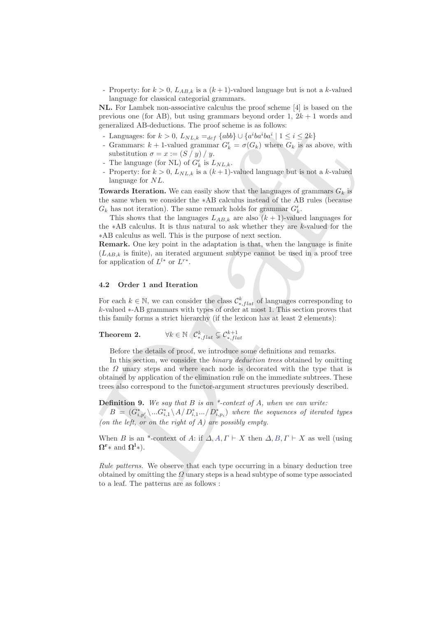- Property: for  $k > 0$ ,  $L_{AB,k}$  is a  $(k+1)$ -valued language but is not a k-valued language for classical categorial grammars.

NL. For Lambek non-associative calculus the proof scheme [4] is based on the previous one (for AB), but using grammars beyond order 1,  $2k + 1$  words and generalized AB-deductions. The proof scheme is as follows:

- Languages: for  $k > 0$ ,  $L_{NL,k} =_{def} \{abb\} \cup \{a^i ba^i ba^i \mid 1 \le i \le 2k\}$
- Grammars:  $k + 1$ -valued grammar  $G'_{k} = \sigma(G_{k})$  where  $G_{k}$  is as above, with substitution  $\sigma = x := (S / y) / y$ .
- The language (for NL) of  $G'_{k}$  is  $L_{NL,k}$ .
- Property: for  $k > 0$ ,  $L_{NL,k}$  is a  $(k+1)$ -valued language but is not a k-valued language for NL.

**Towards Iteration.** We can easily show that the languages of grammars  $G_k$  is the same when we consider the ∗AB calculus instead of the AB rules (because  $G_k$  has not iteration). The same remark holds for grammar  $G'_k$ .

This shows that the languages  $L_{AB,k}$  are also  $(k + 1)$ -valued languages for the ∗AB calculus. It is thus natural to ask whether they are k-valued for the ∗AB calculus as well. This is the purpose of next section.

Remark. One key point in the adaptation is that, when the language is finite  $(L_{AB,k}$  is finite), an iterated argument subtype cannot be used in a proof tree for application of  $L^{l*}$  or  $L^{r*}$ .

## 4.2 Order 1 and Iteration

For each  $k \in \mathbb{N}$ , we can consider the class  $\mathcal{C}_{*,flat}^k$  of languages corresponding to k-valued ∗-AB grammars with types of order at most 1. This section proves that this family forms a strict hierarchy (if the lexicon has at least 2 elements):

**Theorem 2.** 
$$
\forall k \in \mathbb{N} \ \mathcal{C}^k_{*, flat} \subsetneq \mathcal{C}^{k+1}_{*, flat}
$$

Before the details of proof, we introduce some definitions and remarks.

generalized AB-deductions. The proof scheme is as follows:<br>
- Languages for  $k > 0$ ,  $L_{NL,k} = \omega_f$  (ode)  $\cup$   $\{a^i w^j w^i\}$   $1 \leq i \leq 2k$ )<br>
- Grammare  $k + 1$ -valued grammar $C_k = \sigma(G_k)$  where  $G_k$  is as above, with substituti In this section, we consider the *binary deduction trees* obtained by omitting the  $\Omega$  unary steps and where each node is decorated with the type that is obtained by application of the elimination rule on the immediate subtrees. These trees also correspond to the functor-argument structures previously described.

Definition 9. *We say that* B *is an \*-context of* A*, when we can write:*  $B = (G_{i,p'_i}^* \backslash ... G_{i,1}^* \backslash A/D_{i,1}^* ... / D_{i,p_i}^*)$  where the sequences of iterated types *(on the left, or on the right of* A*) are possibly empty.*

When B is an \*-context of A: if  $\Delta$ , A,  $\Gamma \vdash X$  then  $\Delta$ , B,  $\Gamma \vdash X$  as well (using  $\Omega^r$ \* and  $\Omega^l$ \*).

*Rule patterns.* We observe that each type occurring in a binary deduction tree obtained by omitting the  $\Omega$  unary steps is a head subtype of some type associated to a leaf. The patterns are as follows :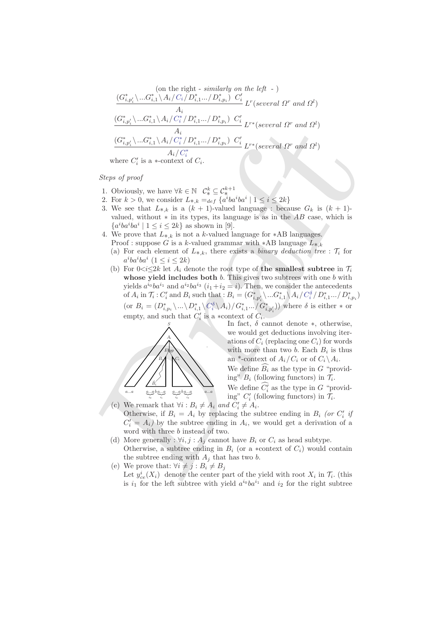$$
(on the right - similarly on the left -)
$$
\n
$$
\frac{(G_{i,p'_i}^* \dots G_{i,1}^* \setminus A_i/C_i/D_{i,1}^* \dots/D_{i,p_i}^*) C_i'}{A_i} \frac{C_i'}{L^r (several \Omega^r \text{ and } \Omega^l)}
$$
\n
$$
\frac{(G_{i,p'_i}^* \setminus \dots G_{i,1}^* \setminus A_i/C_i^* / D_{i,1}^* \dots/D_{i,p_i}^*) C_i'}{A_i}
$$
\n
$$
\frac{(G_{i,p'_i}^* \setminus \dots G_{i,1}^* \setminus A_i/C_i^* / D_{i,1}^* \dots/D_{i,p_i}^*) C_i'}{A_i/C_i^*}
$$
\n
$$
L^{r*} (several \Omega^r \text{ and } \Omega^l)
$$
\nwhere  $C_i'$  is a \*-context of  $C_i$ .

*Steps of proof*

- 1. Obviously, we have  $\forall k \in \mathbb{N} \quad \mathcal{C}^k_* \subseteq \mathcal{C}^{k+1}_*$
- 2. For  $k > 0$ , we consider  $L_{*,k} =_{def} \{a^i b a^i b a^i \mid 1 \leq i \leq 2k\}$
- 3. We see that  $L_{*,k}$  is a  $(k + 1)$ -valued language : because  $G_k$  is  $(k + 1)$ valued, without  $*$  in its types, its language is as in the  $AB$  case, which is  $\{a^iba^iba^i \mid 1 \leq i \leq 2k\}$  as shown in [9].
- 4. We prove that  $L_{*,k}$  is not a k-valued language for  $*AB$  languages.
	- Proof : suppose G is a k-valued grammar with \*AB language  $L_{*,k}$ (a) For each element of  $L_{*,k}$ , there exists a *binary deduction tree* :  $\mathcal{T}_i$  for
	- $a^iba^i$   $(1 \leq i \leq 2k)$
- $\begin{tabular}{|c|c|} \hline $\alpha_1$ & $\alpha_2$ & $\alpha_3$ & $\alpha_4$ & $\alpha_5$ \\ \hline $\langle G_{1,p_1}^* \rangle $& $\langle G_{1,p_1}^* \rangle $& $D_{n_1}^* \rangle $& $D_{n_2}^* \rangle $& $D_{n_1}^* \gamma$ & $D_{n_2}^* \gamma$ & $D_{n_2}^* \gamma$ \\ \hline $\langle G_{1,p_1}^* \rangle $& $\langle G_{1}^* \rangle $& $D_{n_1}^* \gamma$ & $D_{n_2}^* \gamma$ & $D_{n_2}^* \gamma$ & $D_{n_2}^$ (b) For  $0 \lt i \lt 2k$  let  $A_i$  denote the root type of the smallest subtree in  $\mathcal{T}_i$ whose vield includes both  $b$ . This gives two subtrees with one  $b$  with yields  $a^{i_0}ba^{i_1}$  and  $a^{i_2}ba^{i_3}$   $(i_1+i_2=i)$ . Then, we consider the antecedents of  $A_i$  in  $\mathcal{T}_i$ :  $C'_i$  and  $B_i$  such that :  $B_i = (G^*_{i,p'_i} \setminus ... G^*_{i,1} \setminus A_i / C_i^{\delta} / D^*_{i,1} ... / D^*_{i,p_i})$ (or  $B_i = (D^*_{i,p_i} \setminus ... \setminus D^*_{i,1} \setminus C_i^{\delta} \setminus A_i) / G^*_{i,1} ... / G^*_{i,p'_i})$ ) where  $\delta$  is either  $*$  or empty, and such that  $C_i'$  is a ∗context of  $C_i$ .



In fact,  $\delta$  cannot denote  $*$ , otherwise, we would get deductions involving iterations of  $C_i$  (replacing one  $C_i$ ) for words with more than two b. Each  $B_i$  is thus an \*-context of  $A_i/C_i$  or of  $C_i \backslash A_i$ .

We define  $\widehat{B_i}$  as the type in G "providing"  $B_i$  (following functors) in  $\mathcal{T}_i$ .

We define  $C_i'$  as the type in G "providing"  $C_i'$  (following functors) in  $\mathcal{T}_i$ .

- (c) We remark that  $\forall i : B_i \neq A_i$  *and*  $C'_i \neq A_i$ . Otherwise, if  $B_i = A_i$  by replacing the subtree ending in  $B_i$  (or  $C'_i$  if  $C_i' = A_i$ ) by the subtree ending in  $A_i$ , we would get a derivation of a word with three b instead of two.
- (d) More generally :  $\forall i, j : A_i$  cannot have  $B_i$  or  $C_i$  as head subtype. Otherwise, a subtree ending in  $B_i$  (or a ∗context of  $C_i$ ) would contain the subtree ending with  $A_i$  that has two b.
- (e) We prove that:  $\forall i \neq j : B_i \neq B_j$ Let  $y_{ce}^i(X_i)$  denote the center part of the yield with root  $X_i$  in  $\mathcal{T}_i$ . (this is  $i_1$  for the left subtree with yield  $a^{i_0}ba^{i_1}$  and  $i_2$  for the right subtree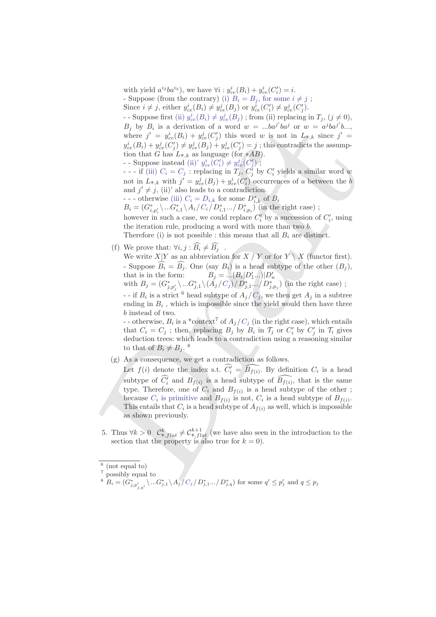with yield  $a^{i_2}ba^{i_3}$ , we have  $\forall i: y_{ce}^i(B_i) + y_{ce}^i(C_i') = i$ . - Suppose (from the contrary) (i)  $B_i = B_j$ , for some  $i \neq j$ ;

Since  $i \neq j$ , either  $y_{ce}^i(B_i) \neq y_{ce}^j(B_j)$  or  $y_{ce}^i(C'_i) \neq y_{ce}^j(C'_j)$ .

- Suppose first (ii)  $y_{ce}^{i}(B_i) \neq y_{ce}^{j}(B_j)$ ; from (ii) replacing in  $T_j$ , ( $j \neq 0$ ),  $B_j$  by  $B_i$  is a derivation of a word  $w = ...ba^{j'}ba^{j}$  or  $w = a^{j}ba^{j'}b...$ where  $j' = y_{ce}^i(B_i) + y_{ce}^j(C'_j)$  this word w is not in  $L_{*,k}$  since  $j' =$  $y_{ce}^i(B_i) + y_{ce}^j(C'_j) \neq y_{ce}^j(B_j) + y_{ce}^j(C'_j) = j$ ; this contradicts the assumption that G has  $L_{*,k}$  as language (for  $*AB$ ).

- Suppose instead (ii)'  $y_{ce}^i(C_i') \neq y_{ce}^j(C_j')$ ;

- - - if (iii)  $C_i = C_j$ : replacing in  $T_j$ ,  $C_j^j$  by  $C_i'$  yields a similar word w not in  $L_{*,k}$  with  $j' = y_{ce}^j(B_j) + y_{ce}^i(C'_i)$  occurrences of a between the b and  $j' \neq j$ , (ii)' also leads to a contradiction.

- - - otherwise (iii)  $C_i = D_{i,k}$  for some  $D_{i,k}^*$  of  $B_i$ 

 $B_i=(G_{i,p_i'}^*\backslash...G_{i,1}^*\backslash A_i/C_i/D_{i,1}^*.../D_{i,p_i}^*)$  (in the right case) ;

however in such a case, we could replace  $C_i'$  by a succession of  $C_i'$ , using the iteration rule, producing a word with more than two b.

Therefore (i) is not possible : this means that all  $B_i$  are distinct.

(f) We prove that:  $\forall i, j : \widehat{B_i} \neq \widehat{B_j}$ .

We write  $X|Y$  as an abbreviation for  $\overline{X}$  / Y or for  $Y \setminus X$  (functor first). - Suppose  $\widehat{B_i} = \widehat{B_j}$ . One (say  $B_i$ ) is a head subtype of the other  $(B_i)$ , that is in the form:  $B_j = ... (B_i | D'_1 ... ) | D'_n$ <br>with  $B_j = (G^*_{j,p'_j} \backslash ... G^*_{j,1} \backslash (A_j / C_j) / D^*_{j,1} ... / D^*_{j,p_j})$  (in the right case);

- - if  $B_i$  is a strict <sup>6</sup> head subtype of  $A_j/C_j$ , we then get  $A_j$  in a subtree ending in  $B_i$ , which is impossible since the yield would then have three b instead of two.

- otherwise,  $B_i$  is a \*context<sup>7</sup> of  $A_j/C_j$  (in the right case), which entails that  $C_i = C_j$ ; then, replacing  $B_j$  by  $B_i$  in  $\mathcal{T}_j$  or  $C'_i$  by  $C'_j$  in  $\mathcal{T}_i$  gives deduction trees: which leads to a contradiction using a reasoning similar to that of  $B_i \neq B_j$ . <sup>8</sup>

(g) As a consequence, we get a contradiction as follows.

B<sub>1</sub> by B<sub>1</sub> is a derivation of a word w = ...both by or we wellow the spin b  $y_1$  by  $\ln a_1$  or  $y_2^2(x_1^2) + y_2^2(x_2^2)$  bits word w is rot in  $L_{g+1}$  since  $g' = g'_{g+1}(B_1) + g'_{g+1}(C_2)$  is  $g'_{g+1}(C_1) \neq g'_{g+1}(C_2)$  Let  $f(i)$  denote the index s.t.  $\widehat{C}'_i = \widehat{B_{f(i)}}$ . By definition  $C_i$  is a head subtype of  $\widehat{C_i'}$  and  $B_{f(i)}$  is a head subtype of  $\widehat{B_{f(i)}}$ , that is the same type. Therefore, one of  $C_i$  and  $B_{f(i)}$  is a head subtype of the other; because  $C_i$  is primitive and  $B_{f(i)}$  is not,  $C_i$  is a head subtype of  $B_{f(i)}$ . This entails that  $C_i$  is a head subtype of  $A_{f(i)}$  as well, which is impossible as shown previously.

5. Thus  $\forall k > 0$   $\mathcal{C}_{*,flat}^k \neq \mathcal{C}_{*,flat}^{k+1}$  (we have also seen in the introduction to the section that the property is also true for  $k = 0$ ).

 $6$  (not equal to)

<sup>7</sup> possibly equal to

 ${}^8\stackrel{.}{B}_{i}=(\stackrel{\cdot}{G}^*_{j,p'_{j,q'}}\setminus...G^*_{j,1}\setminus A_j/C_j/D^*_{j,1}.../D^*_{j,q})$  for some  $q'\leq p'_j$  and  $q\leq p_j$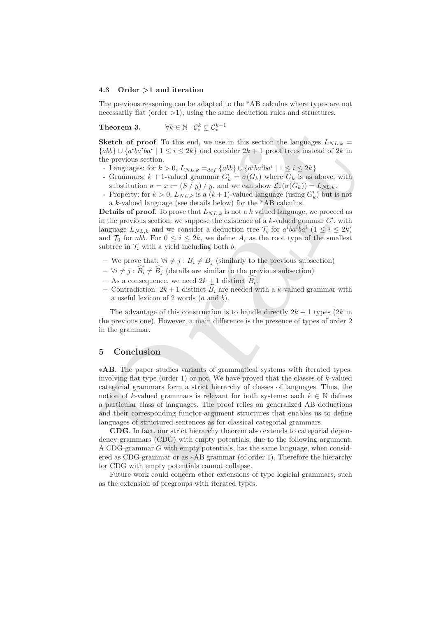#### 4.3 Order >1 and iteration

The previous reasoning can be adapted to the \*AB calculus where types are not necessarily flat (order  $>1$ ), using the same deduction rules and structures.

Theorem 3.  $\zeta_*^k \subsetneq \mathcal{C}_*^{k+1}$ 

Sketch of proof. To this end, we use in this section the languages  $L_{NL,k}$  =  ${abb}$  ∪  ${a<sup>i</sup>ba<sup>i</sup>ba<sup>i</sup> \mid 1 \le i \le 2k}$  and consider  $2k+1$  proof trees instead of  $2k$  in the previous section.

- Languages: for  $k > 0$ ,  $L_{NL,k} =_{def} \{abb\} \cup \{a^{i}ba^{i}ba^{i} \mid 1 \leq i \leq 2k\}$
- Grammars:  $k + 1$ -valued grammar  $G'_{k} = \sigma(G_k)$  where  $G_k$  is as above, with substitution  $\sigma = x := (S / y) / y$ . and we can show  $\mathcal{L}_*(\sigma(G_k)) = L_{NL,k}$ .
- Property: for  $k > 0$ ,  $L_{NL,k}$  is a  $(k+1)$ -valued language (using  $G'_{k}$ ) but is not a k-valued language (see details below) for the \*AB calculus.

**Details of proof.** To prove that  $L_{NL,k}$  is not a k valued language, we proceed as in the previous section: we suppose the existence of a  $k$ -valued gammar  $G'$ , with language  $L_{NL,k}$  and we consider a deduction tree  $\mathcal{T}_i$  for  $a^iba^iba^i$   $(1 \leq i \leq 2k)$ and  $\mathcal{T}_0$  for abb. For  $0 \leq i \leq 2k$ , we define  $A_i$  as the root type of the smallest subtree in  $\mathcal{T}_i$  with a yield including both b.

- We prove that:  $\forall i \neq j : B_i \neq B_j$  (similarly to the previous subsection)
- $-\forall i \neq j : \widehat{B_i} \neq \widehat{B_j}$  (details are similar to the previous subsection)
- As a consequence, we need  $2k+1$  distinct  $B_i$ .
- Contradiction:  $2k+1$  distinct  $B_i$  are needed with a k-valued grammar with a useful lexicon of 2 words  $(a \text{ and } b)$ .

The advantage of this construction is to handle directly  $2k + 1$  types  $(2k$  in the previous one). However, a main difference is the presence of types of order 2 in the grammar.

# 5 Conclusion

**Theorem 3.**  $\forall k \in \mathbb{N} \quad \mathcal{C}_k^k \subseteq \mathcal{C}_k^{k+1}$  is used, we use in this section the langinges  $L_{NL,k} =$ <br>
Showly U (a'ho'ho' $\mathbb{N}$  it is set and consider  $2k+1$  proof trees instead of  $2k$  in the provious section.<br>
La ∗AB. The paper studies variants of grammatical systems with iterated types: involving flat type (order 1) or not. We have proved that the classes of  $k$ -valued categorial grammars form a strict hierarchy of classes of languages. Thus, the notion of k-valued grammars is relevant for both systems: each  $k \in \mathbb{N}$  defines a particular class of languages. The proof relies on generalized AB deductions and their corresponding functor-argument structures that enables us to define languages of structured sentences as for classical categorial grammars.

CDG. In fact, our strict hierarchy theorem also extends to categorial dependency grammars (CDG) with empty potentials, due to the following argument. A CDG-grammar G with empty potentials, has the same language, when considered as CDG-grammar or as ∗AB grammar (of order 1). Therefore the hierarchy for CDG with empty potentials cannot collapse.

Future work could concern other extensions of type logicial grammars, such as the extension of pregroups with iterated types.